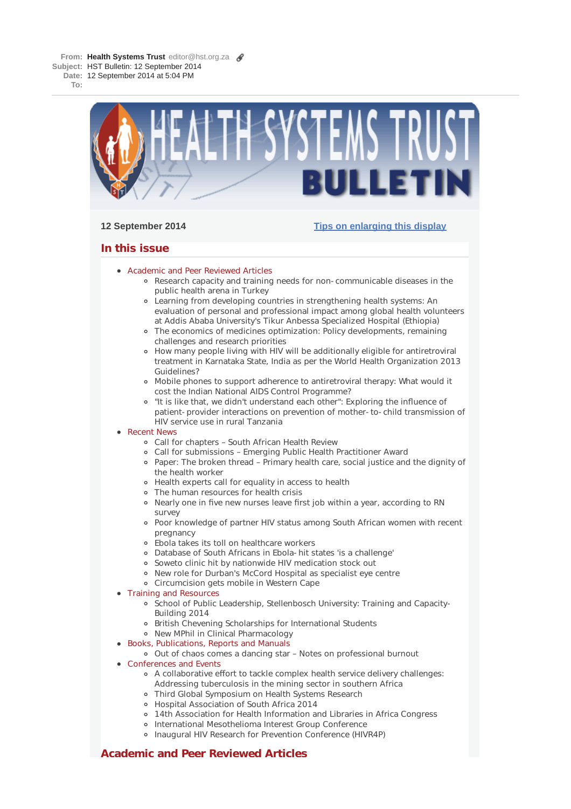**From: Health Systems Trust** editor@hst.org.za **Subject:** HST Bulletin: 12 September 2014 **Date:** 12 September 2014 at 5:04 PM

**To:**



# **12 September 2014 Tips on enlarging this display**

# **In this issue**

- **Academic and Peer Reviewed Articles** 
	- Research capacity and training needs for non-communicable diseases in the public health arena in Turkey
	- Learning from developing countries in strengthening health systems: An evaluation of personal and professional impact among global health volunteers at Addis Ababa University's Tikur Anbessa Specialized Hospital (Ethiopia)
	- The economics of medicines optimization: Policy developments, remaining challenges and research priorities
	- How many people living with HIV will be additionally eligible for antiretroviral treatment in Karnataka State, India as per the World Health Organization 2013 Guidelines?
	- Mobile phones to support adherence to antiretroviral therapy: What would it cost the Indian National AIDS Control Programme?
	- "It is like that, we didn't understand each other": Exploring the influence of patient-provider interactions on prevention of mother-to-child transmission of HIV service use in rural Tanzania
- Recent News
	- Call for chapters South African Health Review
	- Call for submissions Emerging Public Health Practitioner Award
	- Paper: The broken thread Primary health care, social justice and the dignity of the health worker
	- Health experts call for equality in access to health
	- The human resources for health crisis
	- Nearly one in five new nurses leave first job within a year, according to RN survey
	- Poor knowledge of partner HIV status among South African women with recent pregnancy
	- Ebola takes its toll on healthcare workers
	- Database of South Africans in Ebola-hit states 'is a challenge'
	- Soweto clinic hit by nationwide HIV medication stock out
	- New role for Durban's McCord Hospital as specialist eye centre
	- Circumcision gets mobile in Western Cape
- Training and Resources
	- o School of Public Leadership, Stellenbosch University: Training and Capacity-Building 2014
	- British Chevening Scholarships for International Students
	- New MPhil in Clinical Pharmacology
- Books, Publications, Reports and Manuals
	- Out of chaos comes a dancing star Notes on professional burnout
- Conferences and Events
	- A collaborative effort to tackle complex health service delivery challenges: Addressing tuberculosis in the mining sector in southern Africa
	- Third Global Symposium on Health Systems Research
	- Hospital Association of South Africa 2014
	- 14th Association for Health Information and Libraries in Africa Congress
	- o International Mesothelioma Interest Group Conference
	- o Inaugural HIV Research for Prevention Conference (HIVR4P)

# **Academic and Peer Reviewed Articles**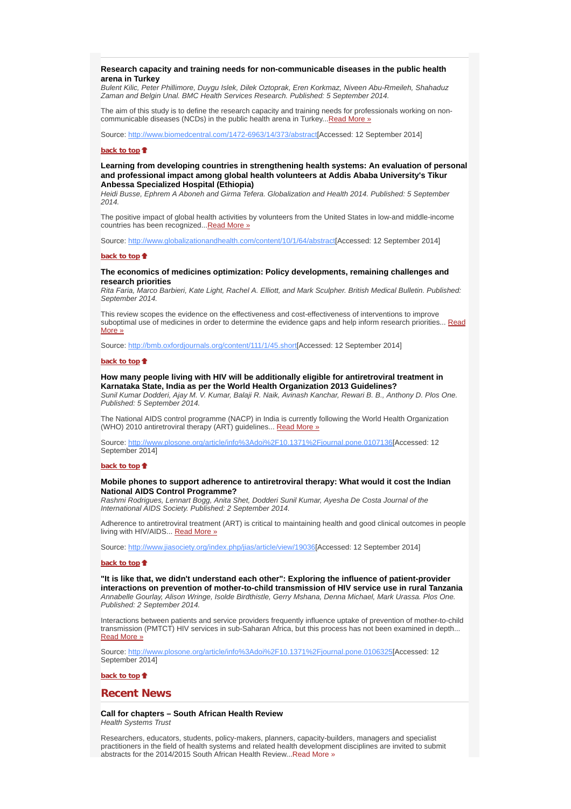### **Research capacity and training needs for non-communicable diseases in the public health arena in Turkey**

*Bulent Kilic, Peter Phillimore, Duygu Islek, Dilek Oztoprak, Eren Korkmaz, Niveen Abu-Rmeileh, Shahaduz Zaman and Belgin Unal. BMC Health Services Research. Published: 5 September 2014.*

The aim of this study is to define the research capacity and training needs for professionals working on noncommunicable diseases (NCDs) in the public health arena in Turkey... Read More »

Source: http://www.biomedcentral.com/1472-6963/14/373/abstract[Accessed: 12 September 2014]

### **back to top**

**Learning from developing countries in strengthening health systems: An evaluation of personal and professional impact among global health volunteers at Addis Ababa University's Tikur Anbessa Specialized Hospital (Ethiopia)**

*Heidi Busse, Ephrem A Aboneh and Girma Tefera. Globalization and Health 2014. Published: 5 September 2014.*

The positive impact of global health activities by volunteers from the United States in low-and middle-income countries has been recognized... Read More »

Source: http://www.globalizationandhealth.com/content/10/1/64/abstract[Accessed: 12 September 2014]

### **back to top**

# **The economics of medicines optimization: Policy developments, remaining challenges and research priorities**

*Rita Faria, Marco Barbieri, Kate Light, Rachel A. Elliott, and Mark Sculpher. British Medical Bulletin. Published: September 2014.*

This review scopes the evidence on the effectiveness and cost-effectiveness of interventions to improve suboptimal use of medicines in order to determine the evidence gaps and help inform research priorities... Read More »

Source: http://bmb.oxfordjournals.org/content/111/1/45.short[Accessed: 12 September 2014]

### **back to top**

### **How many people living with HIV will be additionally eligible for antiretroviral treatment in Karnataka State, India as per the World Health Organization 2013 Guidelines?**

*Sunil Kumar Dodderi, Ajay M. V. Kumar, Balaji R. Naik, Avinash Kanchar, Rewari B. B., Anthony D. Plos One. Published: 5 September 2014.*

The National AIDS control programme (NACP) in India is currently following the World Health Organization (WHO) 2010 antiretroviral therapy (ART) guidelines... Read More »

Source: http://www.plosone.org/article/info%3Adoi%2F10.1371%2Fjournal.pone.0107136[Accessed: 12 September 2014]

#### **back to top**

#### **Mobile phones to support adherence to antiretroviral therapy: What would it cost the Indian National AIDS Control Programme?**

*Rashmi Rodrigues, Lennart Bogg, Anita Shet, Dodderi Sunil Kumar, Ayesha De Costa Journal of the International AIDS Society. Published: 2 September 2014.*

Adherence to antiretroviral treatment (ART) is critical to maintaining health and good clinical outcomes in people living with HIV/AIDS... Read More »

Source: http://www.jiasociety.org/index.php/jias/article/view/19036[Accessed: 12 September 2014]

#### **back to top**

**"It is like that, we didn't understand each other": Exploring the influence of patient-provider interactions on prevention of mother-to-child transmission of HIV service use in rural Tanzania** *Annabelle Gourlay, Alison Wringe, Isolde Birdthistle, Gerry Mshana, Denna Michael, Mark Urassa. Plos One. Published: 2 September 2014.*

Interactions between patients and service providers frequently influence uptake of prevention of mother-to-child transmission (PMTCT) HIV services in sub-Saharan Africa, but this process has not been examined in depth... Read More »

Source: http://www.plosone.org/article/info%3Adoi%2F10.1371%2Fjournal.pone.0106325[Accessed: 12 September 2014]

# **back to top**

# **Recent News**

**Call for chapters – South African Health Review** *Health Systems Trust*

Researchers, educators, students, policy-makers, planners, capacity-builders, managers and specialist practitioners in the field of health systems and related health development disciplines are invited to submit abstracts for the 2014/2015 South African Health Review...Read More »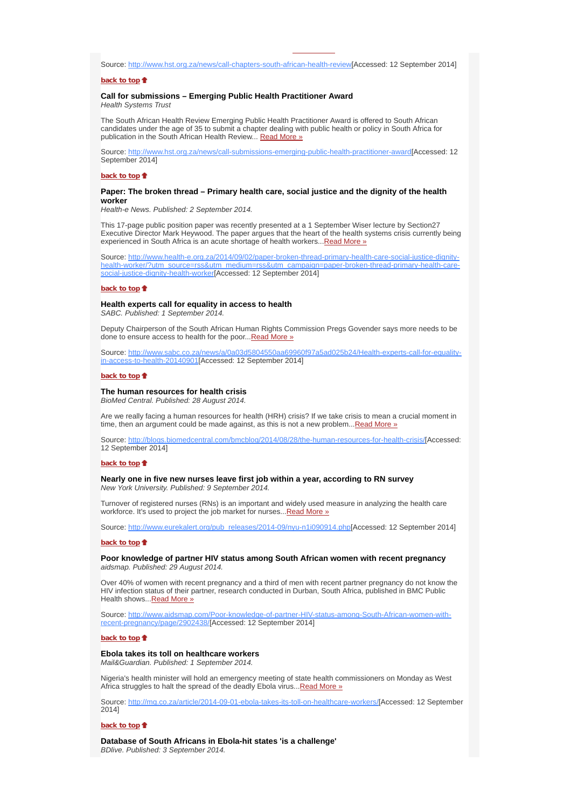Source: http://www.hst.org.za/news/call-chapters-south-african-health-review[Accessed: 12 September 2014]

### **back to top**

# **Call for submissions – Emerging Public Health Practitioner Award**

*Health Systems Trust*

The South African Health Review Emerging Public Health Practitioner Award is offered to South African candidates under the age of 35 to submit a chapter dealing with public health or policy in South Africa for publication in the South African Health Review... Read More »

Source: http://www.hst.org.za/news/call-submissions-emerging-public-health-practitioner-award[Accessed: 12 September 2014]

#### **back to top**

### **Paper: The broken thread – Primary health care, social justice and the dignity of the health worker**

*Health-e News. Published: 2 September 2014.*

This 17-page public position paper was recently presented at a 1 September Wiser lecture by Section27 Executive Director Mark Heywood. The paper argues that the heart of the health systems crisis currently being experienced in South Africa is an acute shortage of health workers... Read More »

Source: http://www.health-e.org.za/2014/09/02/paper-broken-thread-primary-health-care-social-justice-dignityhealth-worker/?utm\_source=rss&utm\_medium=rss&utm\_campaign=paper-broken-thread-primary-health-caresocial-justice-dignity-health-worker[Accessed: 12 September 2014]

#### **back to top**

# **Health experts call for equality in access to health**

*SABC. Published: 1 September 2014.*

Deputy Chairperson of the South African Human Rights Commission Pregs Govender says more needs to be done to ensure access to health for the poor...Read More »

Source: http://www.sabc.co.za/news/a/0a03d5804550aa69960f97a5ad025b24/Health-experts-call-for-equalityin-access-to-health-20140901[Accessed: 12 September 2014]

#### **back to top**

#### **The human resources for health crisis**

*BioMed Central. Published: 28 August 2014.*

Are we really facing a human resources for health (HRH) crisis? If we take crisis to mean a crucial moment in time, then an argument could be made against, as this is not a new problem... Read More »

Source: http://blogs.biomedcentral.com/bmcblog/2014/08/28/the-human-resources-for-health-crisis/[Accessed: 12 September 2014]

#### **back to top**

**Nearly one in five new nurses leave first job within a year, according to RN survey** *New York University. Published: 9 September 2014.*

Turnover of registered nurses (RNs) is an important and widely used measure in analyzing the health care workforce. It's used to project the job market for nurses... Read More »

Source: http://www.eurekalert.org/pub\_releases/2014-09/nyu-n1i090914.php[Accessed: 12 September 2014]

#### **back to top**

**Poor knowledge of partner HIV status among South African women with recent pregnancy** *aidsmap. Published: 29 August 2014.*

Over 40% of women with recent pregnancy and a third of men with recent partner pregnancy do not know the HIV infection status of their partner, research conducted in Durban, South Africa, published in BMC Public Health shows...Read More »

Source: http://www.aidsmap.com/Poor-knowledge-of-partner-HIV-status-among-South-African-women-withrecent-pregnancy/page/2902438/[Accessed: 12 September 2014]

#### **back to top**

#### **Ebola takes its toll on healthcare workers**

*Mail&Guardian. Published: 1 September 2014.*

Nigeria's health minister will hold an emergency meeting of state health commissioners on Monday as West Africa struggles to halt the spread of the deadly Ebola virus... Read More »

Source: http://mg.co.za/article/2014-09-01-ebola-takes-its-toll-on-healthcare-workers/[Accessed: 12 September 2014]

#### **back to top**

**Database of South Africans in Ebola-hit states 'is a challenge'** *BDlive. Published: 3 September 2014.*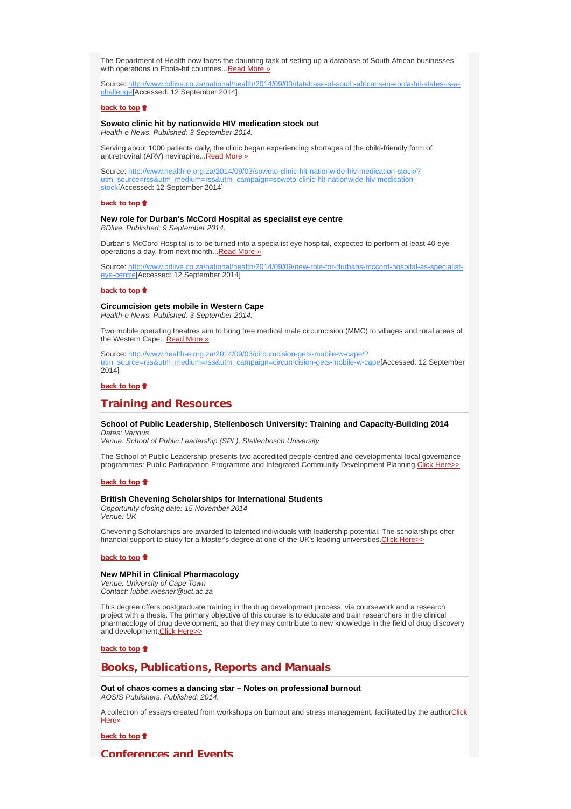The Department of Health now faces the daunting task of setting up a database of South African businesses with operations in Ebola-hit countries... Read More »

Source: http://www.bdlive.co.za/national/health/2014/09/03/database-of-south-africans-in-ebola-hit-states-is-achallenge[Accessed: 12 September 2014]

### **back to top**

# **Soweto clinic hit by nationwide HIV medication stock out**

*Health-e News. Published: 3 September 2014.*

Serving about 1000 patients daily, the clinic began experiencing shortages of the child-friendly form of antiretroviral (ARV) nevirapine...Read More »

Source: http://www.health-e.org.za/2014/09/03/soweto-clinic-hit-nationwide-hiv-medication-stock/? utm\_source=rss&utm\_medium=rss&utm\_campaign=soweto-clinic-hit-nationwide-hiv-medicationstock[Accessed: 12 September 2014]

#### **back to top**

#### **New role for Durban's McCord Hospital as specialist eye centre** *BDlive. Published: 9 September 2014.*

Durban's McCord Hospital is to be turned into a specialist eye hospital, expected to perform at least 40 eye operations a day, from next month... Read More »

Source: http://www.bdlive.co.za/national/health/2014/09/09/new-role-for-durbans-mccord-hospital-as-specialisteye-centre[Accessed: 12 September 2014]

#### **back to top**

# **Circumcision gets mobile in Western Cape**

*Health-e News. Published: 3 September 2014.*

Two mobile operating theatres aim to bring free medical male circumcision (MMC) to villages and rural areas of the Western Cape... Read More »

Source: http://www.health-e.org.za/2014/09/03/circumcision-gets-mobile-w-cape/? utm\_source=rss&utm\_medium=rss&utm\_campaign=circumcision-gets-mobile-w-cape[Accessed: 12 September 2014]

#### **back to top**<sup> $\bullet$ </sup>

# **Training and Resources**

### **School of Public Leadership, Stellenbosch University: Training and Capacity-Building 2014** *Dates: Various*

*Venue: School of Public Leadership (SPL), Stellenbosch University*

The School of Public Leadership presents two accredited people-centred and developmental local governance programmes: Public Participation Programme and Integrated Community Development Planning.Click Here>>

#### **back to top**

# **British Chevening Scholarships for International Students**

*Opportunity closing date: 15 November 2014 Venue: UK*

Chevening Scholarships are awarded to talented individuals with leadership potential. The scholarships offer financial support to study for a Master's degree at one of the UK's leading universities. Click Here>>

**back to top**

### **New MPhil in Clinical Pharmacology**

*Venue: University of Cape Town Contact: lubbe.wiesner@uct.ac.za*

This degree offers postgraduate training in the drug development process, via coursework and a research project with a thesis. The primary objective of this course is to educate and train researchers in the clinical pharmacology of drug development, so that they may contribute to new knowledge in the field of drug discovery and development.Click Here>>

**back to top**

# **Books, Publications, Reports and Manuals**

**Out of chaos comes a dancing star – Notes on professional burnout** *AOSIS Publishers. Published: 2014.*

A collection of essays created from workshops on burnout and stress management, facilitated by the authorClick Here»

**back to top**<sup>t</sup>

# **Conferences and Events**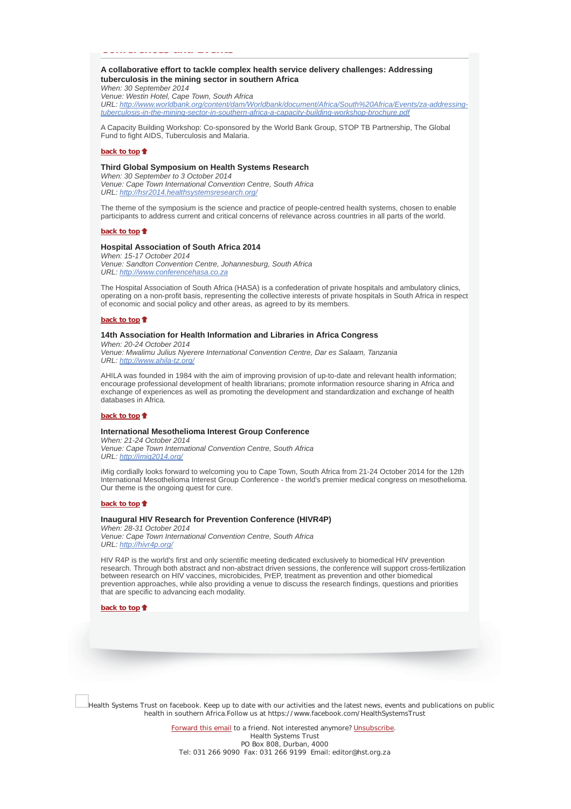# **Conferences and Events**

# **A collaborative effort to tackle complex health service delivery challenges: Addressing tuberculosis in the mining sector in southern Africa**

*When: 30 September 2014 Venue: Westin Hotel, Cape Town, South Africa URL: http://www.worldbank.org/content/dam/Worldbank/document/Africa/South%20Africa/Events/za-addressingtuberculosis-in-the-mining-sector-in-southern-africa-a-capacity-building-workshop-brochure.pdf*

A Capacity Building Workshop: Co-sponsored by the World Bank Group, STOP TB Partnership, The Global Fund to fight AIDS, Tuberculosis and Malaria.

#### **back to top**

#### **Third Global Symposium on Health Systems Research**

*When: 30 September to 3 October 2014 Venue: Cape Town International Convention Centre, South Africa URL: http://hsr2014.healthsystemsresearch.org/*

The theme of the symposium is the science and practice of people-centred health systems, chosen to enable participants to address current and critical concerns of relevance across countries in all parts of the world.

#### **back to top**

#### **Hospital Association of South Africa 2014**

*When: 15-17 October 2014 Venue: Sandton Convention Centre, Johannesburg, South Africa URL: http://www.conferencehasa.co.za*

The Hospital Association of South Africa (HASA) is a confederation of private hospitals and ambulatory clinics, operating on a non-profit basis, representing the collective interests of private hospitals in South Africa in respect of economic and social policy and other areas, as agreed to by its members.

#### **back to top**

### **14th Association for Health Information and Libraries in Africa Congress**

*When: 20-24 October 2014 Venue: Mwalimu Julius Nyerere International Convention Centre, Dar es Salaam, Tanzania URL: http://www.ahila-tz.org/*

AHILA was founded in 1984 with the aim of improving provision of up-to-date and relevant health information; encourage professional development of health librarians; promote information resource sharing in Africa and exchange of experiences as well as promoting the development and standardization and exchange of health databases in Africa.

### **back to top**

#### **International Mesothelioma Interest Group Conference**

*When: 21-24 October 2014 Venue: Cape Town International Convention Centre, South Africa URL: http://imig2014.org/*

iMig cordially looks forward to welcoming you to Cape Town, South Africa from 21-24 October 2014 for the 12th International Mesothelioma Interest Group Conference - the world's premier medical congress on mesothelioma. Our theme is the ongoing quest for cure.

#### **back to top**

#### **Inaugural HIV Research for Prevention Conference (HIVR4P)**

*When: 28-31 October 2014 Venue: Cape Town International Convention Centre, South Africa URL: http://hivr4p.org/*

HIV R4P is the world's first and only scientific meeting dedicated exclusively to biomedical HIV prevention research. Through both abstract and non-abstract driven sessions, the conference will support cross-fertilization between research on HIV vaccines, microbicides, PrEP, treatment as prevention and other biomedical prevention approaches, while also providing a venue to discuss the research findings, questions and priorities that are specific to advancing each modality.

**back to top**

Health Systems Trust on facebook. Keep up to date with our activities and the latest news, events and publications on public health in southern Africa.Follow us at https://www.facebook.com/HealthSystemsTrust

> Forward this email to a friend. Not interested anymore? Unsubscribe. Health Systems Trust PO Box 808, Durban, 4000 Tel: 031 266 9090 Fax: 031 266 9199 Email: editor@hst.org.za